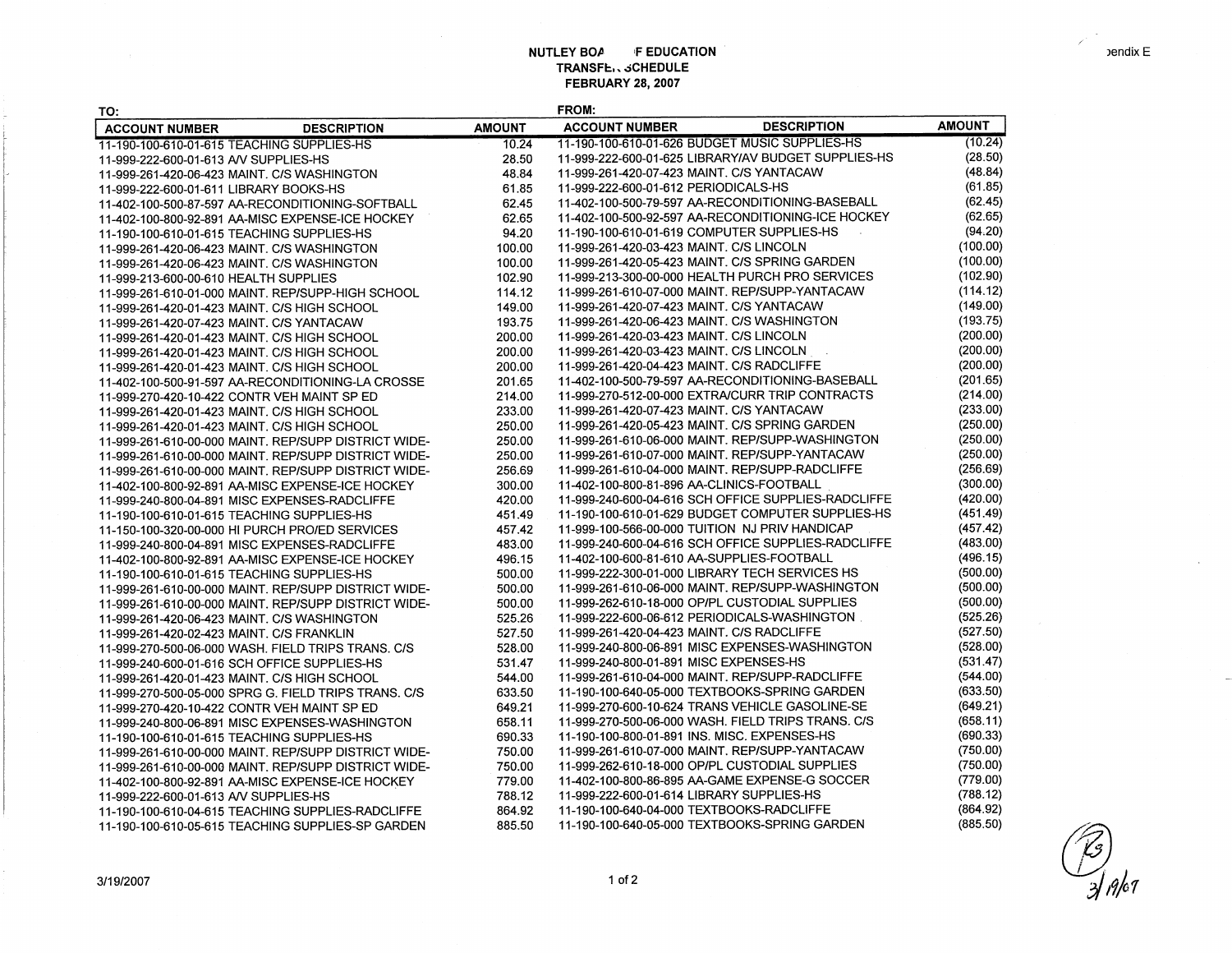## **NUTLEY BOA FEDUCATION TRANSFb,.:iCHEDULE FEBRUARY 28, 2007**

| TO:                                                  |               | <b>FROM:</b>                                 |                                                     |               |
|------------------------------------------------------|---------------|----------------------------------------------|-----------------------------------------------------|---------------|
| <b>DESCRIPTION</b><br><b>ACCOUNT NUMBER</b>          | <b>AMOUNT</b> | <b>ACCOUNT NUMBER</b>                        | <b>DESCRIPTION</b>                                  | <b>AMOUNT</b> |
| 11-190-100-610-01-615 TEACHING SUPPLIES-HS           | 10.24         |                                              | 11-190-100-610-01-626 BUDGET MUSIC SUPPLIES-HS      | (10.24)       |
| 11-999-222-600-01-613 AV SUPPLIES-HS                 | 28.50         |                                              | 11-999-222-600-01-625 LIBRARY/AV BUDGET SUPPLIES-HS | (28.50)       |
| 11-999-261-420-06-423 MAINT. C/S WASHINGTON          | 48.84         | 11-999-261-420-07-423 MAINT, C/S YANTACAW    |                                                     | (48.84)       |
| 11-999-222-600-01-611 LIBRARY BOOKS-HS               | 61.85         | 11-999-222-600-01-612 PERIODICALS-HS         |                                                     | (61.85)       |
| 11-402-100-500-87-597 AA-RECONDITIONING-SOFTBALL     | 62.45         |                                              | 11-402-100-500-79-597 AA-RECONDITIONING-BASEBALL    | (62.45)       |
| 11-402-100-800-92-891 AA-MISC EXPENSE-ICE HOCKEY     | 62.65         |                                              | 11-402-100-500-92-597 AA-RECONDITIONING-ICE HOCKEY  | (62.65)       |
| 11-190-100-610-01-615 TEACHING SUPPLIES-HS           | 94.20         | 11-190-100-610-01-619 COMPUTER SUPPLIES-HS   |                                                     | (94.20)       |
| 11-999-261-420-06-423 MAINT. C/S WASHINGTON          | 100.00        | 11-999-261-420-03-423 MAINT. C/S LINCOLN     |                                                     | (100.00)      |
| 11-999-261-420-06-423 MAINT. C/S WASHINGTON          | 100.00        |                                              | 11-999-261-420-05-423 MAINT. C/S SPRING GARDEN      | (100.00)      |
| 11-999-213-600-00-610 HEALTH SUPPLIES                | 102.90        |                                              | 11-999-213-300-00-000 HEALTH PURCH PRO SERVICES     | (102.90)      |
| 11-999-261-610-01-000 MAINT. REP/SUPP-HIGH SCHOOL    | 114.12        |                                              | 11-999-261-610-07-000 MAINT. REP/SUPP-YANTACAW      | (114.12)      |
| 11-999-261-420-01-423 MAINT. C/S HIGH SCHOOL         | 149.00        | 11-999-261-420-07-423 MAINT, C/S YANTACAW    |                                                     | (149.00)      |
| 11-999-261-420-07-423 MAINT. C/S YANTACAW            | 193.75        | 11-999-261-420-06-423 MAINT, C/S WASHINGTON  |                                                     | (193.75)      |
| 11-999-261-420-01-423 MAINT, C/S HIGH SCHOOL         | 200.00        | 11-999-261-420-03-423 MAINT. C/S LINCOLN     |                                                     | (200.00)      |
| 11-999-261-420-01-423 MAINT. C/S HIGH SCHOOL         | 200.00        | 11-999-261-420-03-423 MAINT, C/S LINCOLN     |                                                     | (200.00)      |
| 11-999-261-420-01-423 MAINT. C/S HIGH SCHOOL         | 200.00        | 11-999-261-420-04-423 MAINT. C/S RADCLIFFE   |                                                     | (200.00)      |
| 11-402-100-500-91-597 AA-RECONDITIONING-LA CROSSE    | 201.65        |                                              | 11-402-100-500-79-597 AA-RECONDITIONING-BASEBALL    | (201.65)      |
| 11-999-270-420-10-422 CONTR VEH MAINT SP ED          | 214.00        |                                              | 11-999-270-512-00-000 EXTRA/CURR TRIP CONTRACTS     | (214.00)      |
| 11-999-261-420-01-423 MAINT. C/S HIGH SCHOOL         | 233.00        | 11-999-261-420-07-423 MAINT. C/S YANTACAW    |                                                     | (233.00)      |
| 11-999-261-420-01-423 MAINT. C/S HIGH SCHOOL         | 250.00        |                                              | 11-999-261-420-05-423 MAINT. C/S SPRING GARDEN      | (250.00)      |
| 11-999-261-610-00-000 MAINT. REP/SUPP DISTRICT WIDE- | 250.00        |                                              | 11-999-261-610-06-000 MAINT. REP/SUPP-WASHINGTON    | (250.00)      |
| 11-999-261-610-00-000 MAINT. REP/SUPP DISTRICT WIDE- | 250.00        |                                              | 11-999-261-610-07-000 MAINT. REP/SUPP-YANTACAW      | (250.00)      |
| 11-999-261-610-00-000 MAINT, REP/SUPP DISTRICT WIDE- | 256.69        |                                              | 11-999-261-610-04-000 MAINT. REP/SUPP-RADCLIFFE     | (256.69)      |
| 11-402-100-800-92-891 AA-MISC EXPENSE-ICE HOCKEY     | 300.00        | 11-402-100-800-81-896 AA-CLINICS-FOOTBALL    |                                                     | (300.00)      |
| 11-999-240-800-04-891 MISC EXPENSES-RADCLIFFE        | 420.00        |                                              | 11-999-240-600-04-616 SCH OFFICE SUPPLIES-RADCLIFFE | (420.00)      |
| 11-190-100-610-01-615 TEACHING SUPPLIES-HS           | 451.49        |                                              | 11-190-100-610-01-629 BUDGET COMPUTER SUPPLIES-HS   | (451.49)      |
| 11-150-100-320-00-000 HI PURCH PRO/ED SERVICES       | 457.42        |                                              | 11-999-100-566-00-000 TUITION NJ PRIV HANDICAP      | (457.42)      |
| 11-999-240-800-04-891 MISC EXPENSES-RADCLIFFE        | 483.00        |                                              | 11-999-240-600-04-616 SCH OFFICE SUPPLIES-RADCLIFFE | (483.00)      |
| 11-402-100-800-92-891 AA-MISC EXPENSE-ICE HOCKEY     | 496.15        | 11-402-100-600-81-610 AA-SUPPLIES-FOOTBALL   |                                                     | (496.15)      |
| 11-190-100-610-01-615 TEACHING SUPPLIES-HS           | 500.00        |                                              | 11-999-222-300-01-000 LIBRARY TECH SERVICES HS      | (500.00)      |
| 11-999-261-610-00-000 MAINT. REP/SUPP DISTRICT WIDE- | 500.00        |                                              | 11-999-261-610-06-000 MAINT. REP/SUPP-WASHINGTON    | (500.00)      |
| 11-999-261-610-00-000 MAINT. REP/SUPP DISTRICT WIDE- | 500.00        |                                              | 11-999-262-610-18-000 OP/PL CUSTODIAL SUPPLIES      | (500.00)      |
| 11-999-261-420-06-423 MAINT. C/S WASHINGTON          | 525.26        |                                              | 11-999-222-600-06-612 PERIODICALS-WASHINGTON        | (525.26)      |
| 11-999-261-420-02-423 MAINT. C/S FRANKLIN            | 527.50        | 11-999-261-420-04-423 MAINT. C/S RADCLIFFE   |                                                     | (527.50)      |
| 11-999-270-500-06-000 WASH. FIELD TRIPS TRANS. C/S   | 528.00        |                                              | 11-999-240-800-06-891 MISC EXPENSES-WASHINGTON      | (528.00)      |
| 11-999-240-600-01-616 SCH OFFICE SUPPLIES-HS         | 531.47        | 11-999-240-800-01-891 MISC EXPENSES-HS       |                                                     | (531.47)      |
| 11-999-261-420-01-423 MAINT. C/S HIGH SCHOOL         | 544.00        |                                              | 11-999-261-610-04-000 MAINT. REP/SUPP-RADCLIFFE     | (544.00)      |
| 11-999-270-500-05-000 SPRG G. FIELD TRIPS TRANS. C/S | 633.50        |                                              | 11-190-100-640-05-000 TEXTBOOKS-SPRING GARDEN       | (633.50)      |
| 11-999-270-420-10-422 CONTR VEH MAINT SP ED          | 649.21        |                                              | 11-999-270-600-10-624 TRANS VEHICLE GASOLINE-SE     | (649.21)      |
| 11-999-240-800-06-891 MISC EXPENSES-WASHINGTON       | 658.11        |                                              | 11-999-270-500-06-000 WASH, FIELD TRIPS TRANS, C/S  | (658.11)      |
| 11-190-100-610-01-615 TEACHING SUPPLIES-HS           | 690.33        | 11-190-100-800-01-891 INS. MISC. EXPENSES-HS |                                                     | (690.33)      |
| 11-999-261-610-00-000 MAINT. REP/SUPP DISTRICT WIDE- | 750.00        |                                              | 11-999-261-610-07-000 MAINT. REP/SUPP-YANTACAW      | (750.00)      |
| 11-999-261-610-00-000 MAINT. REP/SUPP DISTRICT WIDE- | 750.00        |                                              | 11-999-262-610-18-000 OP/PL CUSTODIAL SUPPLIES      | (750.00)      |
| 11-402-100-800-92-891 AA-MISC EXPENSE-ICE HOCKEY     | 779.00        |                                              | 11-402-100-800-86-895 AA-GAME EXPENSE-G SOCCER      | (779.00)      |
| 11-999-222-600-01-613 AV SUPPLIES-HS                 | 788.12        | 11-999-222-600-01-614 LIBRARY SUPPLIES-HS    |                                                     | (788.12)      |
| 11-190-100-610-04-615 TEACHING SUPPLIES-RADCLIFFE    | 864.92        | 11-190-100-640-04-000 TEXTBOOKS-RADCLIFFE    |                                                     | (864.92)      |
| 11-190-100-610-05-615 TEACHING SUPPLIES-SP GARDEN    | 885.50        |                                              | 11-190-100-640-05-000 TEXTBOOKS-SPRING GARDEN       | (885.50)      |



 $\lambda$